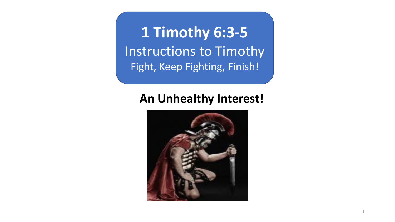**1 Timothy 6:3-5** Instructions to Timothy Fight, Keep Fighting, Finish!

## **An Unhealthy Interest!**

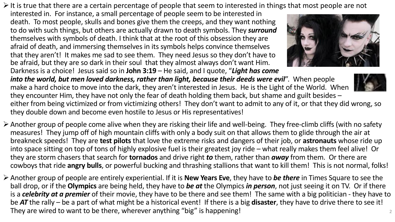$\triangleright$  It is true that there are a certain percentage of people that seem to interested in things that most people are not

interested in. For instance, a small percentage of people seem to be interested in death. To most people, skulls and bones give them the creeps, and they want nothing to do with such things, but others are actually drawn to death symbols. They *surround* themselves with symbols of death. I think that at the root of this obsession they are afraid of death, and immersing themselves in its symbols helps convince themselves that they aren't! It makes me sad to see them. They need Jesus so they don't have to be afraid, but they are so dark in their soul that they almost always don't want Him. Darkness is a choice! Jesus said so in **John 3:19** – He said, and I quote, "*Light has come* 



*into the world, but men loved darkness, rather than light, because their deeds were evil*". When people make a hard choice to move into the dark, they aren't interested in Jesus. He is the Light of the World. When they encounter Him, they have not only the fear of death holding them back, but shame and guilt besides – either from being victimized or from victimizing others! They don't want to admit to any of it, or that they did wrong, so they double down and become even hostile to Jesus or His representatives!

- ØAnother group of people come alive when they are risking their life and well-being. They free-climb cliffs (with no safety measures! They jump off of high mountain cliffs with only a body suit on that allows them to glide through the air at breakneck speeds! They are **test pilots** that love the extreme risks and dangers of their job, or **astronauts** whose ride up into space sitting on top of tons of highly explosive fuel is their greatest joy ride – what really makes them feel alive! Or they are storm chasers that search for **tornados** and drive right *to* them, rather than *away* from them. Or there are cowboys that ride **angry bulls**, or powerful bucking and thrashing stallions that want to kill them! This is not normal, folks!
- ØAnother group of people are entirely experiential. If it is **New Years Eve**, they have to *be there* in Times Square to see the ball drop, or if the **Olympics** are being held, they have to *be at* the Olympics *in person*, not just seeing it on TV. Or if there is a *celebrity at a premier* of their movie, they have to be there and see them! The same with a big politician - they have to be *AT* the rally – be a part of what might be a historical event! If there is a big **disaster**, they have to drive there to see it! They are wired to want to be there, wherever anything "big" is happening! 2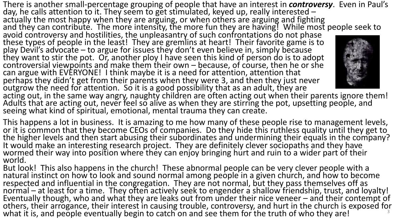There is another small-percentage grouping of people that have an interest in *controversy*. Even in Paul's day, he calls attention to it. They seem to get stimulated, keyed up, really interested –<br>actually the most happy when they are arguing, or when others are arguing and fighting and they can contribute. The more intensity, the more fun they are having! While most people seek to avoid controversy and hostilities, the unpleasantry of such confrontations do not phase these types of people in the least! They are gremlins at heart! Their favorite game is to play Devil's advocate – to argue for issues they don't even believe in, simply because<br>they want to stir the pot. Or, another ploy I have seen this kind of person do is to adopt controversial viewpoints and make them their own – because, of course, then he or she<br>can argue with EVERYONE! I think maybe it is a need for attention, attention that perhaps they didn't get from their parents when they were 3, and then they just never  $\overline{\rm}$ outgrow the need for attention. So it is a good possibility that as an adult, they are acting out, in the same way angry, naughty children are often acting out when their parents ignore them! Adults that are acting out, never feel so alive as when they are stirring the pot, upsetting people, and seeing what kind of spiritual, emotional, mental trauma they can create.

This happens a lot in business. It is amazing to me how many of these people rise to management levels, or it is common that they become CEOs of companies. Do they hide this ruthless quality until they get to the higher levels and then start abusing their subordinates and undermining their equals in the company? It would make an interesting research project. They are definitely clever sociopaths and they have wormed their way into position where they can enjoy bringing hurt and ruin to a wider part of their world.

But look! This also happens in the church! These abnormal people can be very clever people with a natural instinct on how to look and sound normal among people in a given church, and how to become respected and influential in the congregation. They are not normal, but they pass themselves off as normal – at least for a time. They often actively seek to engender a shallow friendship, trust, and loyalty! Eventually though, who and what they are leaks out from under their nice veneer – and their contempt of others, their arrogance, their interest in causing trouble, controversy, and hurt in the church is exposed for what it is, and people eventually begin to catch on and see them for the truth of who they are!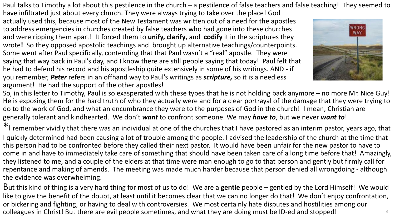Paul talks to Timothy a lot about this pestilence in the church – a pestilence of false teachers and false teaching! They seemed to

have infiltrated just about every church. They were always trying to take over the place! God actually used this, because most of the New Testament was written out of a need for the apostles to address emergencies in churches created by false teachers who had gone into these churches and were ripping them apart! It forced them to **unify, clarify**, and **codify** it in the scriptures they wrote**!** So they opposed apostolic teachings and brought up alternative teachings/counterpoints. Some went after Paul specifically, contending that that Paul wasn't a "real" apostle. They were saying that way back in Paul's day, and I know there are still people saying that today! Paul felt that he had to defend his record and his apostleship quite extensively in some of his writings. AND - if you remember, *Peter* refers in an offhand way to Paul's writings as *scripture,* so it is a needless argument! He had the support of the other apostles!



So, in this letter to Timothy, Paul is so exasperated with these types that he is not holding back anymore – no more Mr. Nice Guy! He is exposing them for the hard truth of who they actually were and for a clear portrayal of the damage that they were trying to do to the work of God, and what an encumbrance they were to the purposes of God in the church! I mean, Christian are generally tolerant and kindhearted. We don't *want* to confront someone. We may *have to*, but we never *want to*!

\*I remember vividly that there was an individual at one of the churches that I have pastored as an interim pastor, years ago, that I quickly determined had been causing a lot of trouble among the people. I advised the leadership of the church at the time that this person had to be confronted before they called their next pastor. It would have been unfair for the new pastor to have to come in and have to immediately take care of something that should have been taken care of a long time before that! Amazingly, they listened to me, and a couple of the elders at that time were man enough to go to that person and gently but firmly call for repentance and making of amends. The meeting was made much harder because that person denied all wrongdoing - although the evidence was overwhelming.

But this kind of thing is a very hard thing for most of us to do! We are a **gentle** people – gentled by the Lord Himself! We would like to give the benefit of the doubt, at least until it becomes clear that we can no longer do that! We don't enjoy confrontation, or bickering and fighting, or having to deal with controversies. We most certainly hate disputes and hostilities among our colleagues in Christ! But there are evil people sometimes, and what they are doing must be ID-ed and stopped! <sup>4</sup>